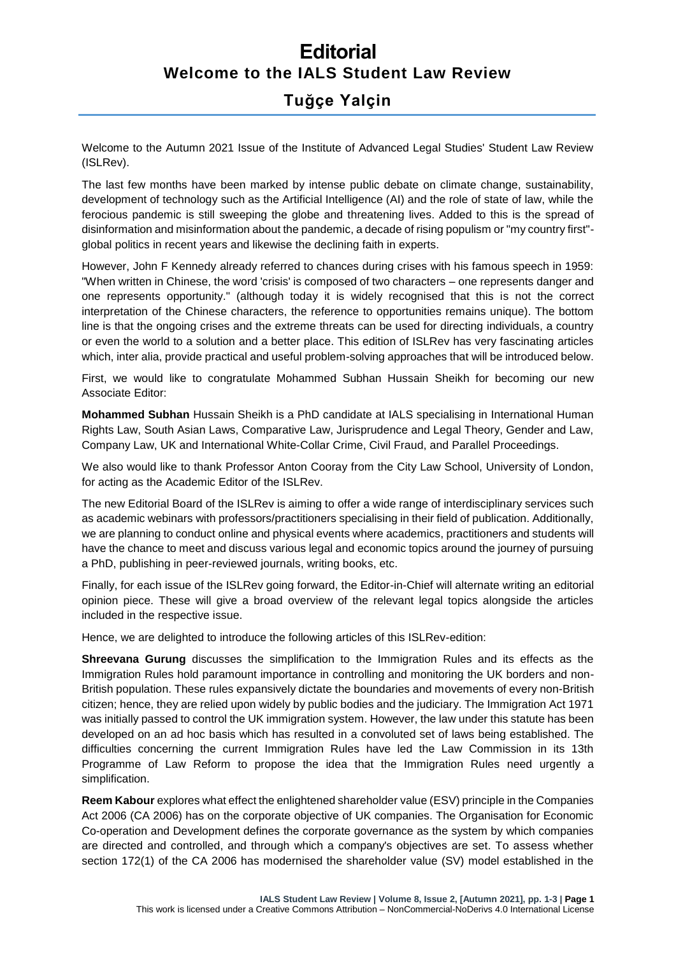## **Editorial Welcome to the IALS Student Law Review**

## **Tuğçe Yalçin**

Welcome to the Autumn 2021 Issue of the Institute of Advanced Legal Studies' Student Law Review (ISLRev).

The last few months have been marked by intense public debate on climate change, sustainability, development of technology such as the Artificial Intelligence (AI) and the role of state of law, while the ferocious pandemic is still sweeping the globe and threatening lives. Added to this is the spread of disinformation and misinformation about the pandemic, a decade of rising populism or "my country first" global politics in recent years and likewise the declining faith in experts.

However, John F Kennedy already referred to chances during crises with his famous speech in 1959: "When written in Chinese, the word 'crisis' is composed of two characters – one represents danger and one represents opportunity." (although today it is widely recognised that this is not the correct interpretation of the Chinese characters, the reference to opportunities remains unique). The bottom line is that the ongoing crises and the extreme threats can be used for directing individuals, a country or even the world to a solution and a better place. This edition of ISLRev has very fascinating articles which, inter alia, provide practical and useful problem-solving approaches that will be introduced below.

First, we would like to congratulate Mohammed Subhan Hussain Sheikh for becoming our new Associate Editor:

**Mohammed Subhan** Hussain Sheikh is a PhD candidate at IALS specialising in International Human Rights Law, South Asian Laws, Comparative Law, Jurisprudence and Legal Theory, Gender and Law, Company Law, UK and International White-Collar Crime, Civil Fraud, and Parallel Proceedings.

We also would like to thank Professor Anton Cooray from the City Law School, University of London, for acting as the Academic Editor of the ISLRev.

The new Editorial Board of the ISLRev is aiming to offer a wide range of interdisciplinary services such as academic webinars with professors/practitioners specialising in their field of publication. Additionally, we are planning to conduct online and physical events where academics, practitioners and students will have the chance to meet and discuss various legal and economic topics around the journey of pursuing a PhD, publishing in peer-reviewed journals, writing books, etc.

Finally, for each issue of the ISLRev going forward, the Editor-in-Chief will alternate writing an editorial opinion piece. These will give a broad overview of the relevant legal topics alongside the articles included in the respective issue.

Hence, we are delighted to introduce the following articles of this ISLRev-edition:

**Shreevana Gurung** discusses the simplification to the Immigration Rules and its effects as the Immigration Rules hold paramount importance in controlling and monitoring the UK borders and non-British population. These rules expansively dictate the boundaries and movements of every non-British citizen; hence, they are relied upon widely by public bodies and the judiciary. The Immigration Act 1971 was initially passed to control the UK immigration system. However, the law under this statute has been developed on an ad hoc basis which has resulted in a convoluted set of laws being established. The difficulties concerning the current Immigration Rules have led the Law Commission in its 13th Programme of Law Reform to propose the idea that the Immigration Rules need urgently a simplification.

**Reem Kabour** explores what effect the enlightened shareholder value (ESV) principle in the Companies Act 2006 (CA 2006) has on the corporate objective of UK companies. The Organisation for Economic Co-operation and Development defines the corporate governance as the system by which companies are directed and controlled, and through which a company's objectives are set. To assess whether section 172(1) of the CA 2006 has modernised the shareholder value (SV) model established in the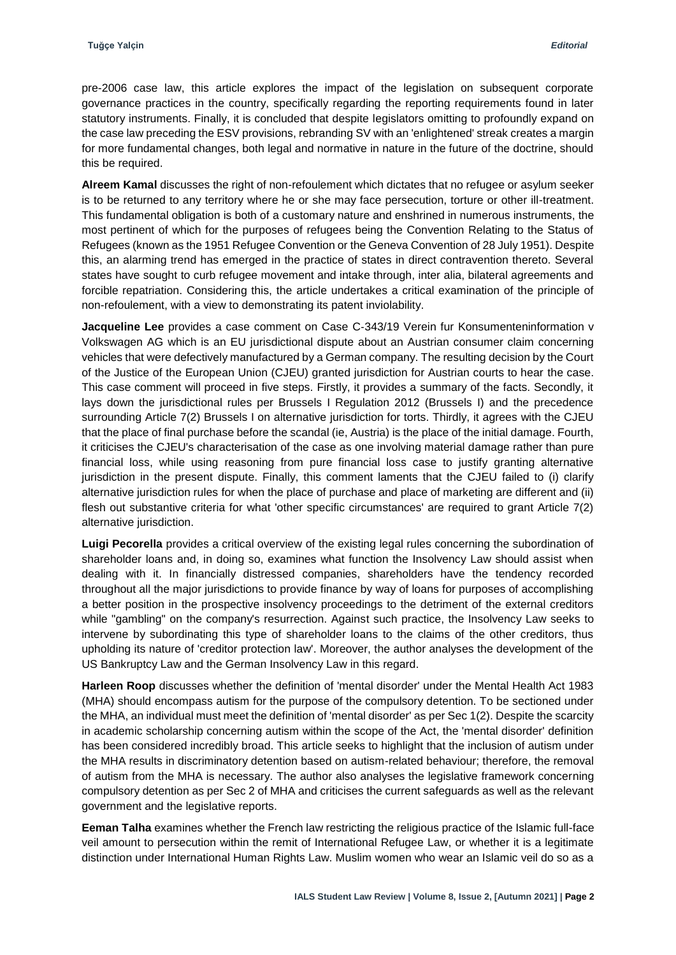pre-2006 case law, this article explores the impact of the legislation on subsequent corporate governance practices in the country, specifically regarding the reporting requirements found in later statutory instruments. Finally, it is concluded that despite legislators omitting to profoundly expand on the case law preceding the ESV provisions, rebranding SV with an 'enlightened' streak creates a margin for more fundamental changes, both legal and normative in nature in the future of the doctrine, should this be required.

**Alreem Kamal** discusses the right of non-refoulement which dictates that no refugee or asylum seeker is to be returned to any territory where he or she may face persecution, torture or other ill-treatment. This fundamental obligation is both of a customary nature and enshrined in numerous instruments, the most pertinent of which for the purposes of refugees being the Convention Relating to the Status of Refugees (known as the 1951 Refugee Convention or the Geneva Convention of 28 July 1951). Despite this, an alarming trend has emerged in the practice of states in direct contravention thereto. Several states have sought to curb refugee movement and intake through, inter alia, bilateral agreements and forcible repatriation. Considering this, the article undertakes a critical examination of the principle of non-refoulement, with a view to demonstrating its patent inviolability.

**Jacqueline Lee** provides a case comment on Case C-343/19 Verein fur Konsumenteninformation v Volkswagen AG which is an EU jurisdictional dispute about an Austrian consumer claim concerning vehicles that were defectively manufactured by a German company. The resulting decision by the Court of the Justice of the European Union (CJEU) granted jurisdiction for Austrian courts to hear the case. This case comment will proceed in five steps. Firstly, it provides a summary of the facts. Secondly, it lays down the jurisdictional rules per Brussels I Regulation 2012 (Brussels I) and the precedence surrounding Article 7(2) Brussels I on alternative jurisdiction for torts. Thirdly, it agrees with the CJEU that the place of final purchase before the scandal (ie, Austria) is the place of the initial damage. Fourth, it criticises the CJEU's characterisation of the case as one involving material damage rather than pure financial loss, while using reasoning from pure financial loss case to justify granting alternative jurisdiction in the present dispute. Finally, this comment laments that the CJEU failed to (i) clarify alternative jurisdiction rules for when the place of purchase and place of marketing are different and (ii) flesh out substantive criteria for what 'other specific circumstances' are required to grant Article 7(2) alternative jurisdiction.

**Luigi Pecorella** provides a critical overview of the existing legal rules concerning the subordination of shareholder loans and, in doing so, examines what function the Insolvency Law should assist when dealing with it. In financially distressed companies, shareholders have the tendency recorded throughout all the major jurisdictions to provide finance by way of loans for purposes of accomplishing a better position in the prospective insolvency proceedings to the detriment of the external creditors while "gambling" on the company's resurrection. Against such practice, the Insolvency Law seeks to intervene by subordinating this type of shareholder loans to the claims of the other creditors, thus upholding its nature of 'creditor protection law'. Moreover, the author analyses the development of the US Bankruptcy Law and the German Insolvency Law in this regard.

**Harleen Roop** discusses whether the definition of 'mental disorder' under the Mental Health Act 1983 (MHA) should encompass autism for the purpose of the compulsory detention. To be sectioned under the MHA, an individual must meet the definition of 'mental disorder' as per Sec 1(2). Despite the scarcity in academic scholarship concerning autism within the scope of the Act, the 'mental disorder' definition has been considered incredibly broad. This article seeks to highlight that the inclusion of autism under the MHA results in discriminatory detention based on autism-related behaviour; therefore, the removal of autism from the MHA is necessary. The author also analyses the legislative framework concerning compulsory detention as per Sec 2 of MHA and criticises the current safeguards as well as the relevant government and the legislative reports.

**Eeman Talha** examines whether the French law restricting the religious practice of the Islamic full-face veil amount to persecution within the remit of International Refugee Law, or whether it is a legitimate distinction under International Human Rights Law. Muslim women who wear an Islamic veil do so as a